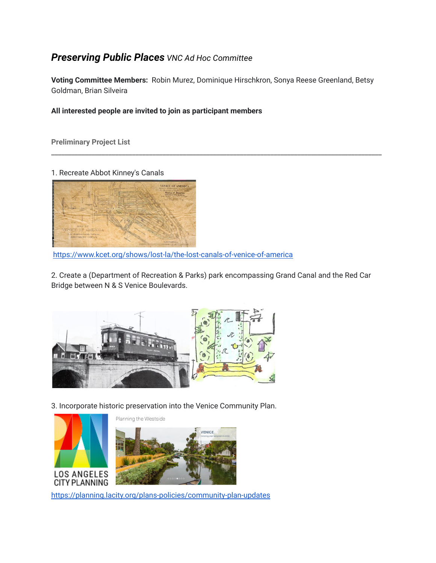## *Preserving Public Places VNC Ad Hoc Committee*

**Voting Committee Members:** Robin Murez, Dominique Hirschkron, Sonya Reese Greenland, Betsy Goldman, Brian Silveira

\_\_\_\_\_\_\_\_\_\_\_\_\_\_\_\_\_\_\_\_\_\_\_\_\_\_\_\_\_\_\_\_\_\_\_\_\_\_\_\_\_\_\_\_\_\_\_\_\_\_\_\_\_\_\_\_\_\_\_\_\_\_\_\_\_\_\_\_\_\_\_\_\_\_\_\_\_\_\_\_\_\_\_\_\_\_\_\_\_\_\_\_\_\_\_\_\_\_

## **All interested people are invited to join as participant members**

**Preliminary Project List**

1. Recreate Abbot Kinney's Canals



https://www.kcet.org/shows/lost-la/the-lost-canals-of-venice-of-america

2. Create a (Department of Recreation & Parks) park encompassing Grand Canal and the Red Car Bridge between N & S Venice Boulevards.



3. Incorporate historic preservation into the Venice Community Plan.



https://planning.lacity.org/plans-policies/community-plan-updates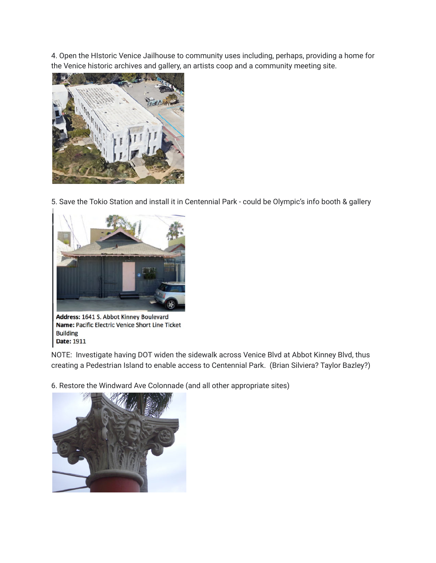4. Open the HIstoric Venice Jailhouse to community uses including, perhaps, providing a home for the Venice historic archives and gallery, an artists coop and a community meeting site.



5. Save the Tokio Station and install it in Centennial Park - could be Olympic's info booth & gallery



Address: 1641 S. Abbot Kinney Boulevard Name: Pacific Electric Venice Short Line Ticket **Building** Date: 1911

NOTE: Investigate having DOT widen the sidewalk across Venice Blvd at Abbot Kinney Blvd, thus creating a Pedestrian Island to enable access to Centennial Park. (Brian Silviera? Taylor Bazley?)

6. Restore the Windward Ave Colonnade (and all other appropriate sites)

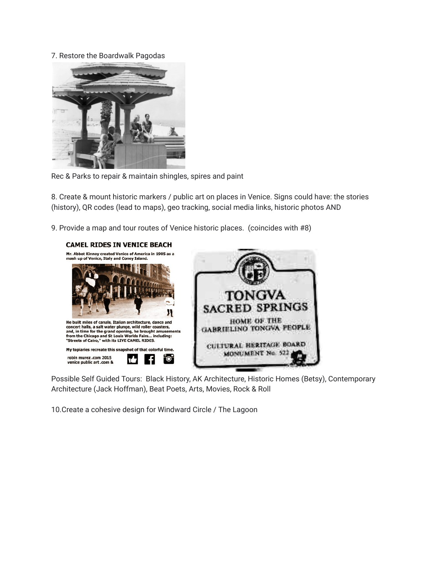## 7. Restore the Boardwalk Pagodas



Rec & Parks to repair & maintain shingles, spires and paint

8. Create & mount historic markers / public art on places in Venice. Signs could have: the stories (history), QR codes (lead to maps), geo tracking, social media links, historic photos AND

9. Provide a map and tour routes of Venice historic places. (coincides with #8)



Possible Self Guided Tours: Black History, AK Architecture, Historic Homes (Betsy), Contemporary Architecture (Jack Hoffman), Beat Poets, Arts, Movies, Rock & Roll

10.Create a cohesive design for Windward Circle / The Lagoon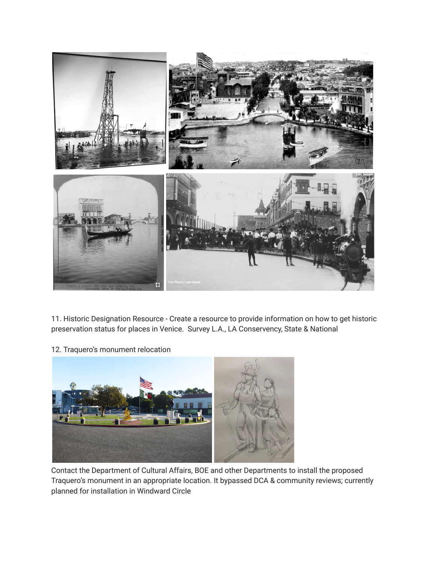

11. Historic Designation Resource - Create a resource to provide information on how to get historic preservation status for places in Venice. Survey L.A., LA Conservency, State & National

12. Traquero's monument relocation



Contact the Department of Cultural Affairs, BOE and other Departments to install the proposed Traquero's monument in an appropriate location. It bypassed DCA & community reviews; currently planned for installation in Windward Circle